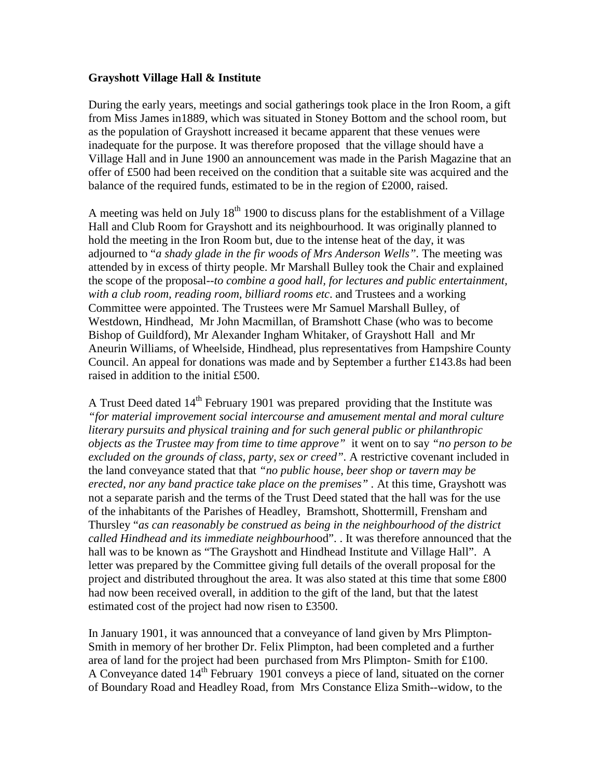### **Grayshott Village Hall & Institute**

During the early years, meetings and social gatherings took place in the Iron Room, a gift from Miss James in1889, which was situated in Stoney Bottom and the school room, but as the population of Grayshott increased it became apparent that these venues were inadequate for the purpose. It was therefore proposed that the village should have a Village Hall and in June 1900 an announcement was made in the Parish Magazine that an offer of £500 had been received on the condition that a suitable site was acquired and the balance of the required funds, estimated to be in the region of £2000, raised.

A meeting was held on July  $18<sup>th</sup> 1900$  to discuss plans for the establishment of a Village Hall and Club Room for Grayshott and its neighbourhood. It was originally planned to hold the meeting in the Iron Room but, due to the intense heat of the day, it was adjourned to "*a shady glade in the fir woods of Mrs Anderson Wells".* The meeting was attended by in excess of thirty people. Mr Marshall Bulley took the Chair and explained the scope of the proposal--*to combine a good hall, for lectures and public entertainment, with a club room, reading room, billiard rooms etc*. and Trustees and a working Committee were appointed. The Trustees were Mr Samuel Marshall Bulley, of Westdown, Hindhead, Mr John Macmillan, of Bramshott Chase (who was to become Bishop of Guildford), Mr Alexander Ingham Whitaker, of Grayshott Hall and Mr Aneurin Williams, of Wheelside, Hindhead, plus representatives from Hampshire County Council. An appeal for donations was made and by September a further £143.8s had been raised in addition to the initial £500.

A Trust Deed dated  $14<sup>th</sup>$  February 1901 was prepared providing that the Institute was *"for material improvement social intercourse and amusement mental and moral culture literary pursuits and physical training and for such general public or philanthropic objects as the Trustee may from time to time approve"* it went on to say *"no person to be excluded on the grounds of class, party, sex or creed".* A restrictive covenant included in the land conveyance stated that that *"no public house, beer shop or tavern may be erected, nor any band practice take place on the premises" .* At this time, Grayshott was not a separate parish and the terms of the Trust Deed stated that the hall was for the use of the inhabitants of the Parishes of Headley, Bramshott, Shottermill, Frensham and Thursley "*as can reasonably be construed as being in the neighbourhood of the district called Hindhead and its immediate neighbourho*od". . It was therefore announced that the hall was to be known as "The Grayshott and Hindhead Institute and Village Hall". A letter was prepared by the Committee giving full details of the overall proposal for the project and distributed throughout the area. It was also stated at this time that some £800 had now been received overall, in addition to the gift of the land, but that the latest estimated cost of the project had now risen to £3500.

In January 1901, it was announced that a conveyance of land given by Mrs Plimpton-Smith in memory of her brother Dr. Felix Plimpton, had been completed and a further area of land for the project had been purchased from Mrs Plimpton- Smith for £100. A Conveyance dated 14<sup>th</sup> February 1901 conveys a piece of land, situated on the corner of Boundary Road and Headley Road, from Mrs Constance Eliza Smith--widow, to the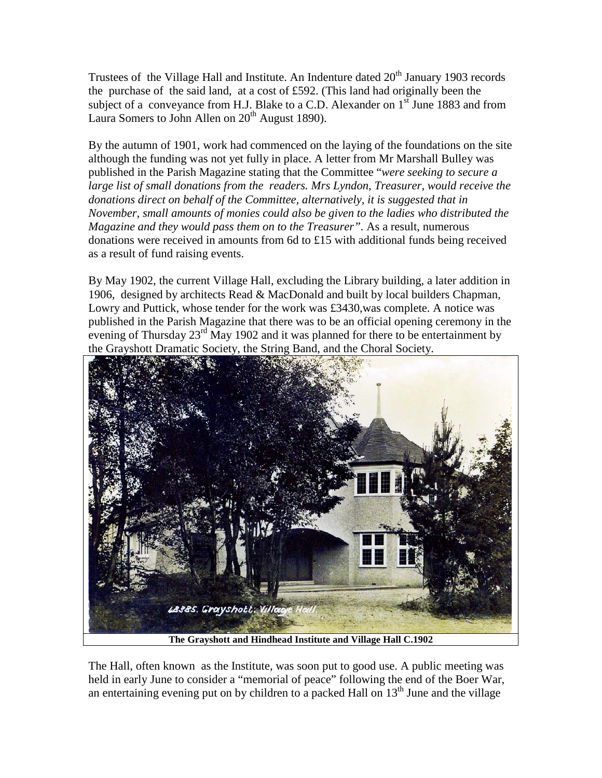Trustees of the Village Hall and Institute. An Indenture dated  $20<sup>th</sup>$  January 1903 records the purchase of the said land, at a cost of £592. (This land had originally been the subject of a conveyance from H.J. Blake to a C.D. Alexander on  $1<sup>st</sup>$  June 1883 and from Laura Somers to John Allen on  $20<sup>th</sup>$  August 1890).

By the autumn of 1901, work had commenced on the laying of the foundations on the site although the funding was not yet fully in place. A letter from Mr Marshall Bulley was published in the Parish Magazine stating that the Committee "*were seeking to secure a large list of small donations from the readers. Mrs Lyndon, Treasurer, would receive the donations direct on behalf of the Committee, alternatively, it is suggested that in November, small amounts of monies could also be given to the ladies who distributed the Magazine and they would pass them on to the Treasurer".* As a result, numerous donations were received in amounts from 6d to £15 with additional funds being received as a result of fund raising events.

By May 1902, the current Village Hall, excluding the Library building, a later addition in 1906, designed by architects Read & MacDonald and built by local builders Chapman, Lowry and Puttick, whose tender for the work was £3430,was complete. A notice was published in the Parish Magazine that there was to be an official opening ceremony in the evening of Thursday 23<sup>rd</sup> May 1902 and it was planned for there to be entertainment by the Grayshott Dramatic Society, the String Band, and the Choral Society.



**The Grayshott and Hindhead Institute and Village Hall C.1902**

The Hall, often known as the Institute, was soon put to good use. A public meeting was held in early June to consider a "memorial of peace" following the end of the Boer War, an entertaining evening put on by children to a packed Hall on  $13<sup>th</sup>$  June and the village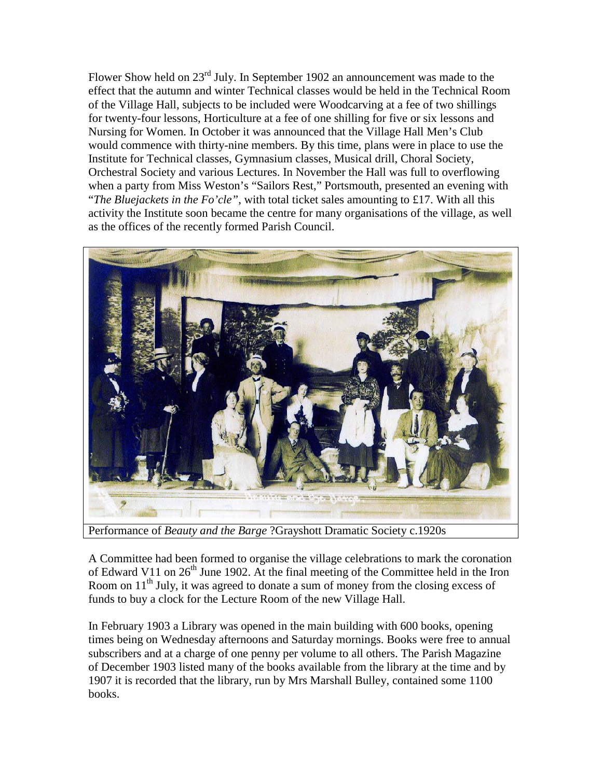Flower Show held on 23<sup>rd</sup> July. In September 1902 an announcement was made to the effect that the autumn and winter Technical classes would be held in the Technical Room of the Village Hall, subjects to be included were Woodcarving at a fee of two shillings for twenty-four lessons, Horticulture at a fee of one shilling for five or six lessons and Nursing for Women. In October it was announced that the Village Hall Men's Club would commence with thirty-nine members. By this time, plans were in place to use the Institute for Technical classes, Gymnasium classes, Musical drill, Choral Society, Orchestral Society and various Lectures. In November the Hall was full to overflowing when a party from Miss Weston's "Sailors Rest," Portsmouth, presented an evening with "*The Bluejackets in the Fo'cle"*, with total ticket sales amounting to £17. With all this activity the Institute soon became the centre for many organisations of the village, as well as the offices of the recently formed Parish Council.



Performance of *Beauty and the Barge* ?Grayshott Dramatic Society c.1920s

A Committee had been formed to organise the village celebrations to mark the coronation of Edward V11 on  $26<sup>th</sup>$  June 1902. At the final meeting of the Committee held in the Iron Room on  $11<sup>th</sup>$  July, it was agreed to donate a sum of money from the closing excess of funds to buy a clock for the Lecture Room of the new Village Hall.

In February 1903 a Library was opened in the main building with 600 books, opening times being on Wednesday afternoons and Saturday mornings. Books were free to annual subscribers and at a charge of one penny per volume to all others. The Parish Magazine of December 1903 listed many of the books available from the library at the time and by 1907 it is recorded that the library, run by Mrs Marshall Bulley, contained some 1100 books.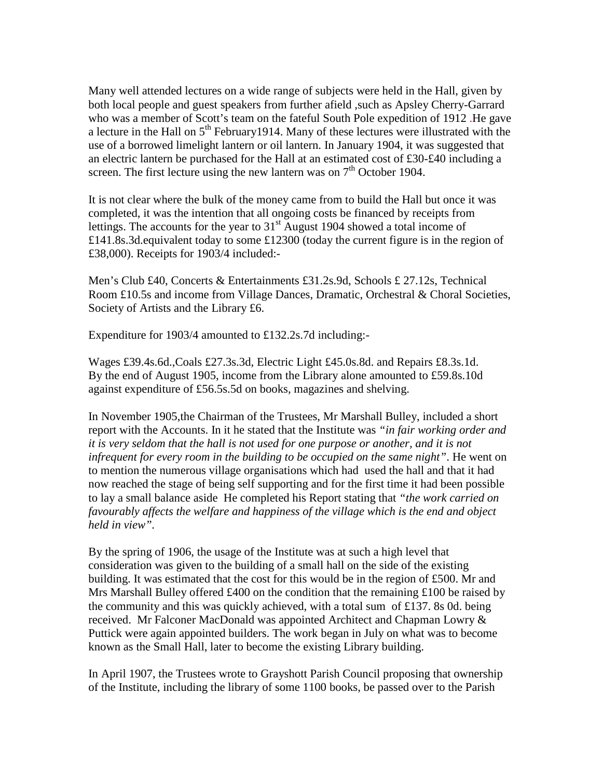Many well attended lectures on a wide range of subjects were held in the Hall, given by both local people and guest speakers from further afield ,such as Apsley Cherry-Garrard who was a member of Scott's team on the fateful South Pole expedition of 1912 .He gave a lecture in the Hall on  $5<sup>th</sup>$  February1914. Many of these lectures were illustrated with the use of a borrowed limelight lantern or oil lantern. In January 1904, it was suggested that an electric lantern be purchased for the Hall at an estimated cost of £30-£40 including a screen. The first lecture using the new lantern was on  $7<sup>th</sup>$  October 1904.

It is not clear where the bulk of the money came from to build the Hall but once it was completed, it was the intention that all ongoing costs be financed by receipts from lettings. The accounts for the year to  $31<sup>st</sup>$  August 1904 showed a total income of £141.8s.3d.equivalent today to some £12300 (today the current figure is in the region of £38,000). Receipts for 1903/4 included:-

Men's Club £40, Concerts & Entertainments £31.2s.9d, Schools £ 27.12s, Technical Room £10.5s and income from Village Dances, Dramatic, Orchestral & Choral Societies, Society of Artists and the Library £6.

Expenditure for 1903/4 amounted to £132.2s.7d including:-

Wages £39.4s.6d.,Coals £27.3s.3d, Electric Light £45.0s.8d. and Repairs £8.3s.1d. By the end of August 1905, income from the Library alone amounted to £59.8s.10d against expenditure of £56.5s.5d on books, magazines and shelving.

In November 1905,the Chairman of the Trustees, Mr Marshall Bulley, included a short report with the Accounts. In it he stated that the Institute was *"in fair working order and it is very seldom that the hall is not used for one purpose or another, and it is not infrequent for every room in the building to be occupied on the same night"*. He went on to mention the numerous village organisations which had used the hall and that it had now reached the stage of being self supporting and for the first time it had been possible to lay a small balance aside He completed his Report stating that *"the work carried on favourably affects the welfare and happiness of the village which is the end and object held in view".*

By the spring of 1906, the usage of the Institute was at such a high level that consideration was given to the building of a small hall on the side of the existing building. It was estimated that the cost for this would be in the region of £500. Mr and Mrs Marshall Bulley offered £400 on the condition that the remaining  $\pounds$ 100 be raised by the community and this was quickly achieved, with a total sum of £137. 8s 0d. being received. Mr Falconer MacDonald was appointed Architect and Chapman Lowry & Puttick were again appointed builders. The work began in July on what was to become known as the Small Hall, later to become the existing Library building.

In April 1907, the Trustees wrote to Grayshott Parish Council proposing that ownership of the Institute, including the library of some 1100 books, be passed over to the Parish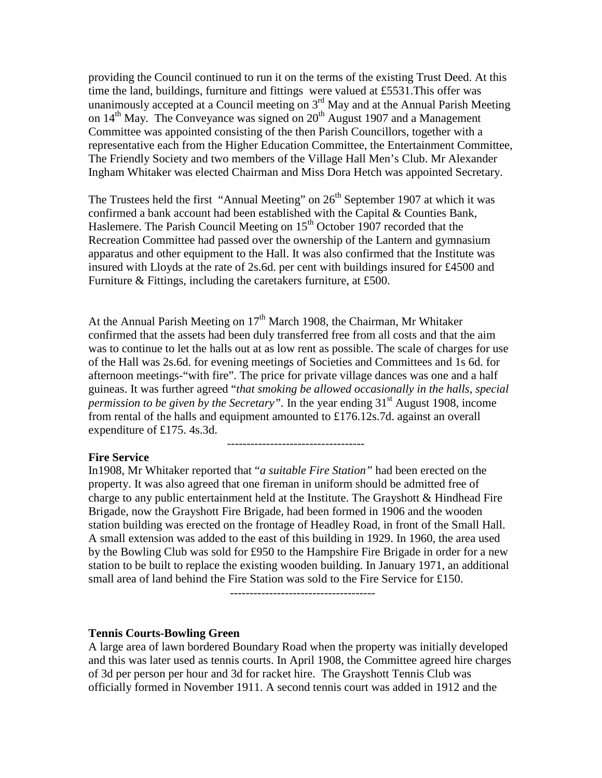providing the Council continued to run it on the terms of the existing Trust Deed. At this time the land, buildings, furniture and fittings were valued at £5531.This offer was unanimously accepted at a Council meeting on  $3<sup>rd</sup>$  May and at the Annual Parish Meeting on  $14<sup>th</sup>$  May. The Conveyance was signed on  $20<sup>th</sup>$  August 1907 and a Management Committee was appointed consisting of the then Parish Councillors, together with a representative each from the Higher Education Committee, the Entertainment Committee, The Friendly Society and two members of the Village Hall Men's Club. Mr Alexander Ingham Whitaker was elected Chairman and Miss Dora Hetch was appointed Secretary.

The Trustees held the first "Annual Meeting" on  $26<sup>th</sup>$  September 1907 at which it was confirmed a bank account had been established with the Capital & Counties Bank, Haslemere. The Parish Council Meeting on  $15<sup>th</sup>$  October 1907 recorded that the Recreation Committee had passed over the ownership of the Lantern and gymnasium apparatus and other equipment to the Hall. It was also confirmed that the Institute was insured with Lloyds at the rate of 2s.6d. per cent with buildings insured for £4500 and Furniture & Fittings, including the caretakers furniture, at £500.

At the Annual Parish Meeting on  $17<sup>th</sup>$  March 1908, the Chairman, Mr Whitaker confirmed that the assets had been duly transferred free from all costs and that the aim was to continue to let the halls out at as low rent as possible. The scale of charges for use of the Hall was 2s.6d. for evening meetings of Societies and Committees and 1s 6d. for afternoon meetings-"with fire". The price for private village dances was one and a half guineas. It was further agreed "*that smoking be allowed occasionally in the halls, special permission to be given by the Secretary*". In the year ending 31<sup>st</sup> August 1908, income from rental of the halls and equipment amounted to £176.12s.7d. against an overall expenditure of £175. 4s.3d.

-----------------------------------

### **Fire Service**

In1908, Mr Whitaker reported that "*a suitable Fire Station"* had been erected on the property. It was also agreed that one fireman in uniform should be admitted free of charge to any public entertainment held at the Institute. The Grayshott & Hindhead Fire Brigade, now the Grayshott Fire Brigade, had been formed in 1906 and the wooden station building was erected on the frontage of Headley Road, in front of the Small Hall. A small extension was added to the east of this building in 1929. In 1960, the area used by the Bowling Club was sold for £950 to the Hampshire Fire Brigade in order for a new station to be built to replace the existing wooden building. In January 1971, an additional small area of land behind the Fire Station was sold to the Fire Service for £150.

-------------------------------------

#### **Tennis Courts-Bowling Green**

A large area of lawn bordered Boundary Road when the property was initially developed and this was later used as tennis courts. In April 1908, the Committee agreed hire charges of 3d per person per hour and 3d for racket hire. The Grayshott Tennis Club was officially formed in November 1911. A second tennis court was added in 1912 and the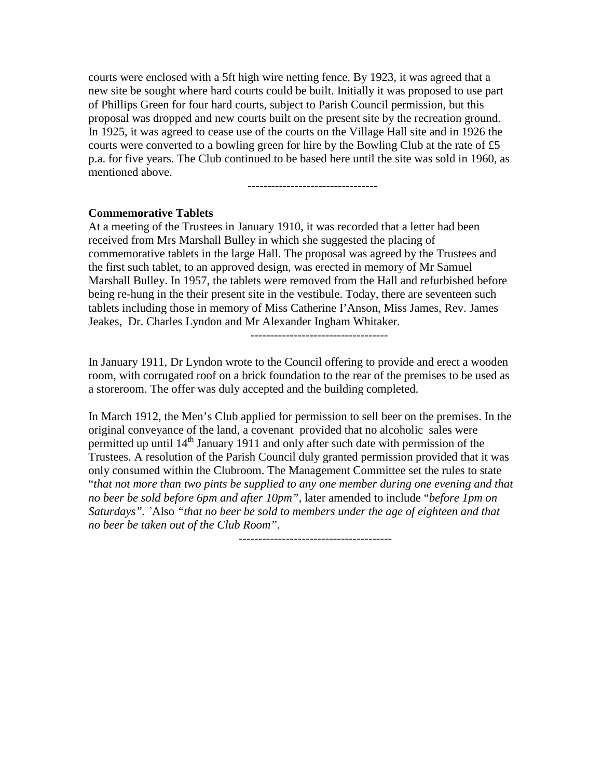courts were enclosed with a 5ft high wire netting fence. By 1923, it was agreed that a new site be sought where hard courts could be built. Initially it was proposed to use part of Phillips Green for four hard courts, subject to Parish Council permission, but this proposal was dropped and new courts built on the present site by the recreation ground. In 1925, it was agreed to cease use of the courts on the Village Hall site and in 1926 the courts were converted to a bowling green for hire by the Bowling Club at the rate of £5 p.a. for five years. The Club continued to be based here until the site was sold in 1960, as mentioned above.

---------------------------------

### **Commemorative Tablets**

At a meeting of the Trustees in January 1910, it was recorded that a letter had been received from Mrs Marshall Bulley in which she suggested the placing of commemorative tablets in the large Hall. The proposal was agreed by the Trustees and the first such tablet, to an approved design, was erected in memory of Mr Samuel Marshall Bulley. In 1957, the tablets were removed from the Hall and refurbished before being re-hung in the their present site in the vestibule. Today, there are seventeen such tablets including those in memory of Miss Catherine I'Anson, Miss James, Rev. James Jeakes, Dr. Charles Lyndon and Mr Alexander Ingham Whitaker.

-----------------------------------

In January 1911, Dr Lyndon wrote to the Council offering to provide and erect a wooden room, with corrugated roof on a brick foundation to the rear of the premises to be used as a storeroom. The offer was duly accepted and the building completed.

In March 1912, the Men's Club applied for permission to sell beer on the premises. In the original conveyance of the land, a covenant provided that no alcoholic sales were permitted up until 14<sup>th</sup> January 1911 and only after such date with permission of the Trustees. A resolution of the Parish Council duly granted permission provided that it was only consumed within the Clubroom. The Management Committee set the rules to state "*that not more than two pints be supplied to any one member during one evening and that no beer be sold before 6pm and after 10pm",* later amended to include "*before 1pm on Saturdays". `*Also *"that no beer be sold to members under the age of eighteen and that no beer be taken out of the Club Room".*

 *---------------------------------------*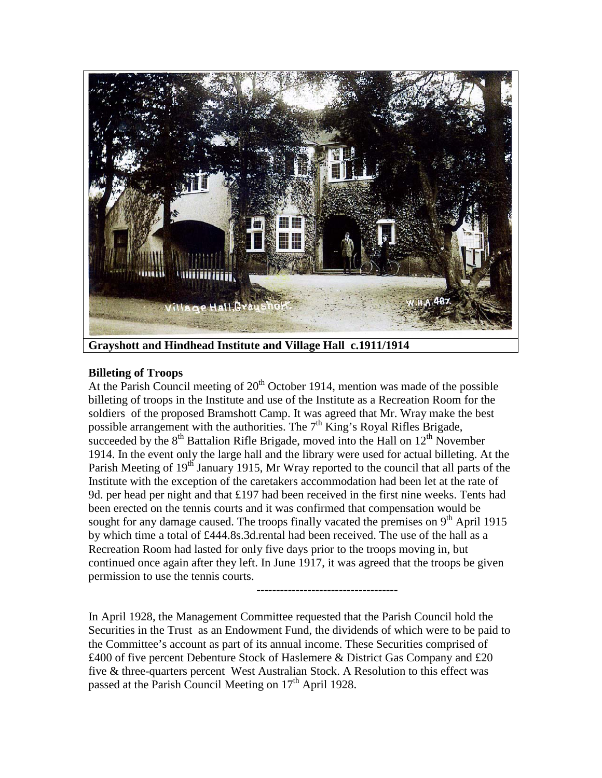

**Grayshott and Hindhead Institute and Village Hall c.1911/1914**

------------------------------------

# **Billeting of Troops**

At the Parish Council meeting of  $20<sup>th</sup>$  October 1914, mention was made of the possible billeting of troops in the Institute and use of the Institute as a Recreation Room for the soldiers of the proposed Bramshott Camp. It was agreed that Mr. Wray make the best possible arrangement with the authorities. The  $7<sup>th</sup>$  King's Royal Rifles Brigade, succeeded by the  $8<sup>th</sup>$  Battalion Rifle Brigade, moved into the Hall on  $12<sup>th</sup>$  November 1914. In the event only the large hall and the library were used for actual billeting. At the Parish Meeting of 19<sup>th</sup> January 1915, Mr Wray reported to the council that all parts of the Institute with the exception of the caretakers accommodation had been let at the rate of 9d. per head per night and that  $£197$  had been received in the first nine weeks. Tents had been erected on the tennis courts and it was confirmed that compensation would be sought for any damage caused. The troops finally vacated the premises on  $9<sup>th</sup>$  April 1915 by which time a total of £444.8s.3d.rental had been received. The use of the hall as a Recreation Room had lasted for only five days prior to the troops moving in, but continued once again after they left. In June 1917, it was agreed that the troops be given permission to use the tennis courts.

In April 1928, the Management Committee requested that the Parish Council hold the Securities in the Trust as an Endowment Fund, the dividends of which were to be paid to the Committee's account as part of its annual income. These Securities comprised of £400 of five percent Debenture Stock of Haslemere & District Gas Company and £20 five & three-quarters percent West Australian Stock. A Resolution to this effect was passed at the Parish Council Meeting on 17<sup>th</sup> April 1928.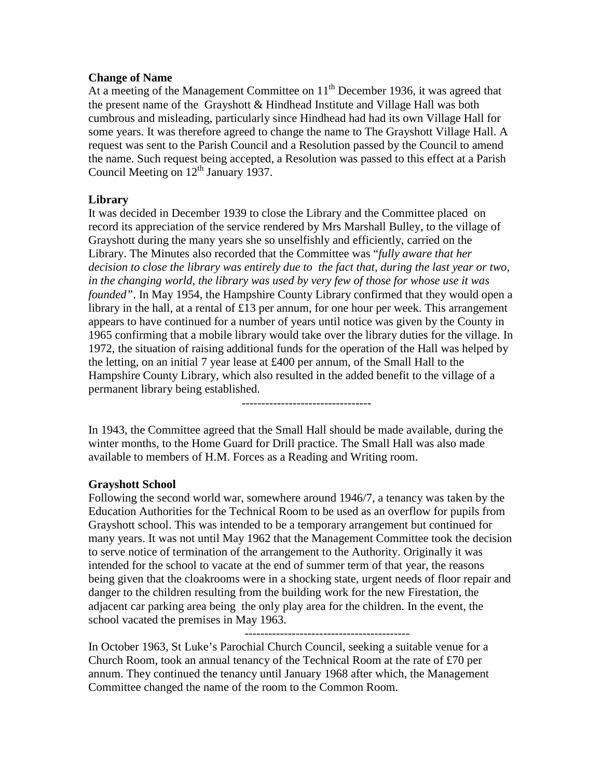### **Change of Name**

At a meeting of the Management Committee on  $11<sup>th</sup>$  December 1936, it was agreed that the present name of the Grayshott & Hindhead Institute and Village Hall was both cumbrous and misleading, particularly since Hindhead had had its own Village Hall for some years. It was therefore agreed to change the name to The Grayshott Village Hall. A request was sent to the Parish Council and a Resolution passed by the Council to amend the name. Such request being accepted, a Resolution was passed to this effect at a Parish Council Meeting on 12<sup>th</sup> January 1937.

# **Library**

It was decided in December 1939 to close the Library and the Committee placed on record its appreciation of the service rendered by Mrs Marshall Bulley, to the village of Grayshott during the many years she so unselfishly and efficiently, carried on the Library. The Minutes also recorded that the Committee was "*fully aware that her decision to close the library was entirely due to the fact that, during the last year or two, in the changing world, the library was used by very few of those for whose use it was founded"*. In May 1954, the Hampshire County Library confirmed that they would open a library in the hall, at a rental of £13 per annum, for one hour per week. This arrangement appears to have continued for a number of years until notice was given by the County in 1965 confirming that a mobile library would take over the library duties for the village. In 1972, the situation of raising additional funds for the operation of the Hall was helped by the letting, on an initial 7 year lease at £400 per annum, of the Small Hall to the Hampshire County Library, which also resulted in the added benefit to the village of a permanent library being established.

---------------------------------

In 1943, the Committee agreed that the Small Hall should be made available, during the winter months, to the Home Guard for Drill practice. The Small Hall was also made available to members of H.M. Forces as a Reading and Writing room.

# **Grayshott School**

Following the second world war, somewhere around 1946/7, a tenancy was taken by the Education Authorities for the Technical Room to be used as an overflow for pupils from Grayshott school. This was intended to be a temporary arrangement but continued for many years. It was not until May 1962 that the Management Committee took the decision to serve notice of termination of the arrangement to the Authority. Originally it was intended for the school to vacate at the end of summer term of that year, the reasons being given that the cloakrooms were in a shocking state, urgent needs of floor repair and danger to the children resulting from the building work for the new Firestation, the adjacent car parking area being the only play area for the children. In the event, the school vacated the premises in May 1963.

------------------------------------------

In October 1963, St Luke's Parochial Church Council, seeking a suitable venue for a Church Room, took an annual tenancy of the Technical Room at the rate of £70 per annum. They continued the tenancy until January 1968 after which, the Management Committee changed the name of the room to the Common Room.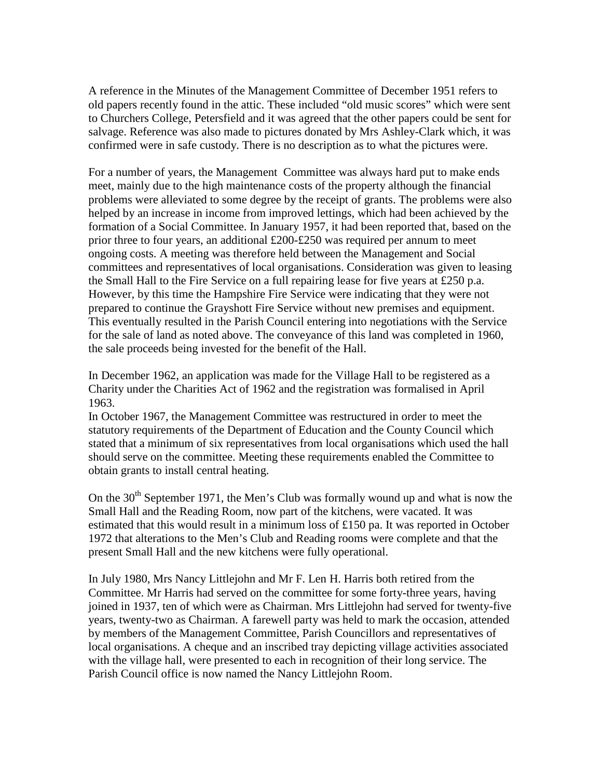A reference in the Minutes of the Management Committee of December 1951 refers to old papers recently found in the attic. These included "old music scores" which were sent to Churchers College, Petersfield and it was agreed that the other papers could be sent for salvage. Reference was also made to pictures donated by Mrs Ashley-Clark which, it was confirmed were in safe custody. There is no description as to what the pictures were.

For a number of years, the Management Committee was always hard put to make ends meet, mainly due to the high maintenance costs of the property although the financial problems were alleviated to some degree by the receipt of grants. The problems were also helped by an increase in income from improved lettings, which had been achieved by the formation of a Social Committee. In January 1957, it had been reported that, based on the prior three to four years, an additional  $£200-E250$  was required per annum to meet ongoing costs. A meeting was therefore held between the Management and Social committees and representatives of local organisations. Consideration was given to leasing the Small Hall to the Fire Service on a full repairing lease for five years at £250 p.a. However, by this time the Hampshire Fire Service were indicating that they were not prepared to continue the Grayshott Fire Service without new premises and equipment. This eventually resulted in the Parish Council entering into negotiations with the Service for the sale of land as noted above. The conveyance of this land was completed in 1960, the sale proceeds being invested for the benefit of the Hall.

In December 1962, an application was made for the Village Hall to be registered as a Charity under the Charities Act of 1962 and the registration was formalised in April 1963.

In October 1967, the Management Committee was restructured in order to meet the statutory requirements of the Department of Education and the County Council which stated that a minimum of six representatives from local organisations which used the hall should serve on the committee. Meeting these requirements enabled the Committee to obtain grants to install central heating.

On the  $30<sup>th</sup>$  September 1971, the Men's Club was formally wound up and what is now the Small Hall and the Reading Room, now part of the kitchens, were vacated. It was estimated that this would result in a minimum loss of £150 pa. It was reported in October 1972 that alterations to the Men's Club and Reading rooms were complete and that the present Small Hall and the new kitchens were fully operational.

In July 1980, Mrs Nancy Littlejohn and Mr F. Len H. Harris both retired from the Committee. Mr Harris had served on the committee for some forty-three years, having joined in 1937, ten of which were as Chairman. Mrs Littlejohn had served for twenty-five years, twenty-two as Chairman. A farewell party was held to mark the occasion, attended by members of the Management Committee, Parish Councillors and representatives of local organisations. A cheque and an inscribed tray depicting village activities associated with the village hall, were presented to each in recognition of their long service. The Parish Council office is now named the Nancy Littlejohn Room.